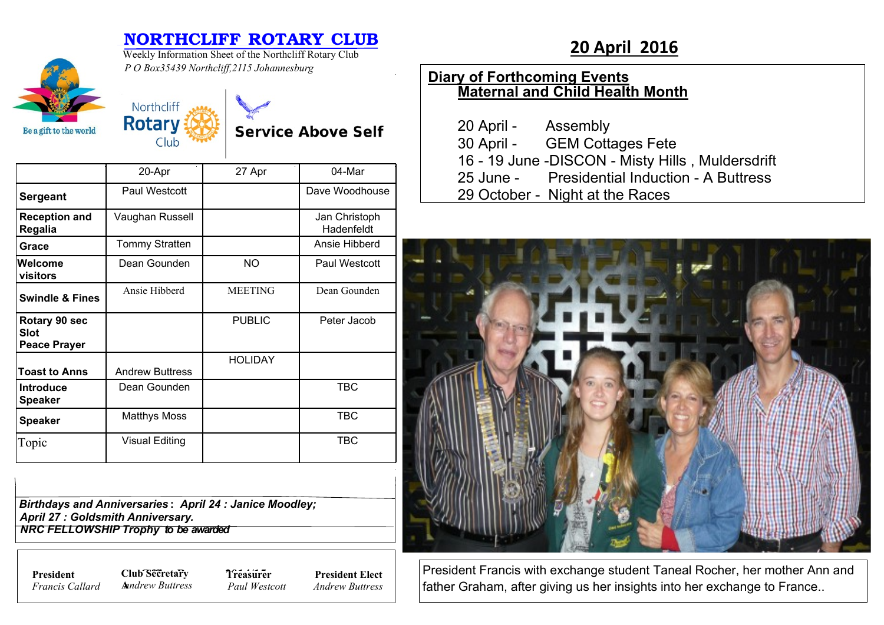## **NORTHCLIFF ROTARY CLUB**<br>Weekly Information Sheet of the Northcliff Rotary Club<br>**20 April 2016**

**Service Above Self** 



Weekly Information Sheet of the Northcliff Rotary Club *P O Box35439 Northcliff,2115 Johannesburg*

Northcliff **Rotary** 

Club

## **Diary of Forthcoming Events Maternal and Child Health Month**

| 20 April - | Assembly                                          |
|------------|---------------------------------------------------|
|            | 30 April - GEM Cottages Fete                      |
|            | 16 - 19 June - DISCON - Misty Hills, Muldersdrift |
|            | 25 June - Presidential Induction - A Buttress     |
|            | 29 October - Night at the Races                   |



President Francis with exchange student Taneal Rocher, her mother Ann and father Graham, after giving us her insights into her exchange to France..

|                                                     | 20-Apr                 | 27 Apr         | 04-Mar                      |
|-----------------------------------------------------|------------------------|----------------|-----------------------------|
| <b>Sergeant</b>                                     | Paul Westcott          |                | Dave Woodhouse              |
| <b>Reception and</b><br>Regalia                     | Vaughan Russell        |                | Jan Christoph<br>Hadenfeldt |
| Grace                                               | Tommy Stratten         |                | Ansie Hibberd               |
| Welcome<br>visitors                                 | Dean Gounden           | <b>NO</b>      | Paul Westcott               |
| <b>Swindle &amp; Fines</b>                          | Ansie Hibberd          | <b>MEETING</b> | Dean Gounden                |
| Rotary 90 sec<br><b>Slot</b><br><b>Peace Prayer</b> |                        | <b>PUBLIC</b>  | Peter Jacob                 |
| <b>Toast to Anns</b>                                | <b>Andrew Buttress</b> | <b>HOLIDAY</b> |                             |
| <b>Introduce</b><br><b>Speaker</b>                  | Dean Gounden           |                | TBC                         |
| <b>Speaker</b>                                      | <b>Matthys Moss</b>    |                | TBC                         |
| Topic                                               | <b>Visual Editing</b>  |                | TBC                         |

*Birthdays and Anniversaries* **:** *April 24 : Janice Moodley; April 27 : Goldsmith Anniversary. NRC FELLOWSHIP Trophy to be awarded*

*Francis Callard*

**President Club Secretary 7** *Treasure* **A***nndrew Buttress*

**Treasurer** *Paul Westcott* **President Elect** *Andrew Buttress*